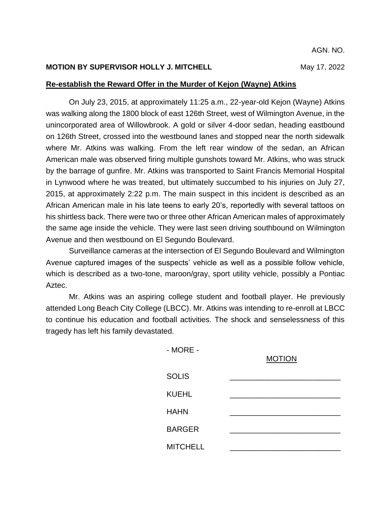## **MOTION BY SUPERVISOR HOLLY J. MITCHELL MAY 17, 2022**

## **Re-establish the Reward Offer in the Murder of Kejon (Wayne) Atkins**

On July 23, 2015, at approximately 11:25 a.m., 22-year-old Kejon (Wayne) Atkins was walking along the 1800 block of east 126th Street, west of Wilmington Avenue, in the unincorporated area of Willowbrook. A gold or silver 4-door sedan, heading eastbound on 126th Street, crossed into the westbound lanes and stopped near the north sidewalk where Mr. Atkins was walking. From the left rear window of the sedan, an African American male was observed firing multiple gunshots toward Mr. Atkins, who was struck by the barrage of gunfire. Mr. Atkins was transported to Saint Francis Memorial Hospital in Lynwood where he was treated, but ultimately succumbed to his injuries on July 27, 2015, at approximately 2:22 p.m. The main suspect in this incident is described as an African American male in his late teens to early 20's, reportedly with several tattoos on his shirtless back. There were two or three other African American males of approximately the same age inside the vehicle. They were last seen driving southbound on Wilmington Avenue and then westbound on El Segundo Boulevard.

Surveillance cameras at the intersection of El Segundo Boulevard and Wilmington Avenue captured images of the suspects' vehicle as well as a possible follow vehicle, which is described as a two-tone, maroon/gray, sport utility vehicle, possibly a Pontiac Aztec.

Mr. Atkins was an aspiring college student and football player. He previously attended Long Beach City College (LBCC). Mr. Atkins was intending to re-enroll at LBCC to continue his education and football activities. The shock and senselessness of this tragedy has left his family devastated.

| $-MORE -$       | <b>MOTION</b> |
|-----------------|---------------|
| <b>SOLIS</b>    |               |
| <b>KUEHL</b>    |               |
| <b>HAHN</b>     |               |
| <b>BARGER</b>   |               |
| <b>MITCHELL</b> |               |